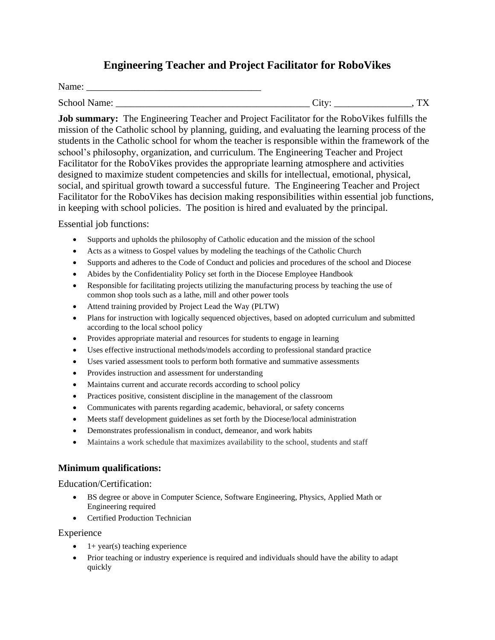# **Engineering Teacher and Project Facilitator for RoboVikes**

Name: \_\_\_\_\_\_\_\_\_\_\_\_\_\_\_\_\_\_\_\_\_\_\_\_\_\_\_\_\_\_\_\_\_\_\_\_

School Name: \_\_\_\_\_\_\_\_\_\_\_\_\_\_\_\_\_\_\_\_\_\_\_\_\_\_\_\_\_\_\_\_\_\_\_\_\_\_\_\_ City: \_\_\_\_\_\_\_\_\_\_\_\_\_\_\_\_, TX

**Job summary:** The Engineering Teacher and Project Facilitator for the RoboVikes fulfills the mission of the Catholic school by planning, guiding, and evaluating the learning process of the students in the Catholic school for whom the teacher is responsible within the framework of the school's philosophy, organization, and curriculum. The Engineering Teacher and Project Facilitator for the RoboVikes provides the appropriate learning atmosphere and activities designed to maximize student competencies and skills for intellectual, emotional, physical, social, and spiritual growth toward a successful future. The Engineering Teacher and Project Facilitator for the RoboVikes has decision making responsibilities within essential job functions, in keeping with school policies. The position is hired and evaluated by the principal.

Essential job functions:

- Supports and upholds the philosophy of Catholic education and the mission of the school
- Acts as a witness to Gospel values by modeling the teachings of the Catholic Church
- Supports and adheres to the Code of Conduct and policies and procedures of the school and Diocese
- Abides by the Confidentiality Policy set forth in the Diocese Employee Handbook
- Responsible for facilitating projects utilizing the manufacturing process by teaching the use of common shop tools such as a lathe, mill and other power tools
- Attend training provided by Project Lead the Way (PLTW)
- Plans for instruction with logically sequenced objectives, based on adopted curriculum and submitted according to the local school policy
- Provides appropriate material and resources for students to engage in learning
- Uses effective instructional methods/models according to professional standard practice
- Uses varied assessment tools to perform both formative and summative assessments
- Provides instruction and assessment for understanding
- Maintains current and accurate records according to school policy
- Practices positive, consistent discipline in the management of the classroom
- Communicates with parents regarding academic, behavioral, or safety concerns
- Meets staff development guidelines as set forth by the Diocese/local administration
- Demonstrates professionalism in conduct, demeanor, and work habits
- Maintains a work schedule that maximizes availability to the school, students and staff

## **Minimum qualifications:**

Education/Certification:

- BS degree or above in Computer Science, Software Engineering, Physics, Applied Math or Engineering required
- Certified Production Technician

Experience

- $1+$  year(s) teaching experience
- Prior teaching or industry experience is required and individuals should have the ability to adapt quickly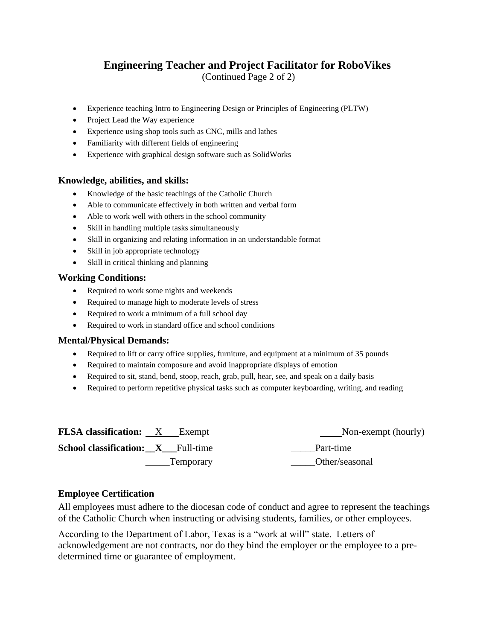# **Engineering Teacher and Project Facilitator for RoboVikes**

(Continued Page 2 of 2)

- Experience teaching Intro to Engineering Design or Principles of Engineering (PLTW)
- Project Lead the Way experience
- Experience using shop tools such as CNC, mills and lathes
- Familiarity with different fields of engineering
- Experience with graphical design software such as SolidWorks

### **Knowledge, abilities, and skills:**

- Knowledge of the basic teachings of the Catholic Church
- Able to communicate effectively in both written and verbal form
- Able to work well with others in the school community
- Skill in handling multiple tasks simultaneously
- Skill in organizing and relating information in an understandable format
- Skill in job appropriate technology
- Skill in critical thinking and planning

#### **Working Conditions:**

- Required to work some nights and weekends
- Required to manage high to moderate levels of stress
- Required to work a minimum of a full school day
- Required to work in standard office and school conditions

### **Mental/Physical Demands:**

- Required to lift or carry office supplies, furniture, and equipment at a minimum of 35 pounds
- Required to maintain composure and avoid inappropriate displays of emotion
- Required to sit, stand, bend, stoop, reach, grab, pull, hear, see, and speak on a daily basis
- Required to perform repetitive physical tasks such as computer keyboarding, writing, and reading

| <b>FLSA</b> classification: X Exempt      |           | Non-exempt (hourly) |
|-------------------------------------------|-----------|---------------------|
| <b>School classification:</b> X Full-time |           | Part-time           |
|                                           | Temporary | Other/seasonal      |

### **Employee Certification**

All employees must adhere to the diocesan code of conduct and agree to represent the teachings of the Catholic Church when instructing or advising students, families, or other employees.

According to the Department of Labor, Texas is a "work at will" state. Letters of acknowledgement are not contracts, nor do they bind the employer or the employee to a predetermined time or guarantee of employment.